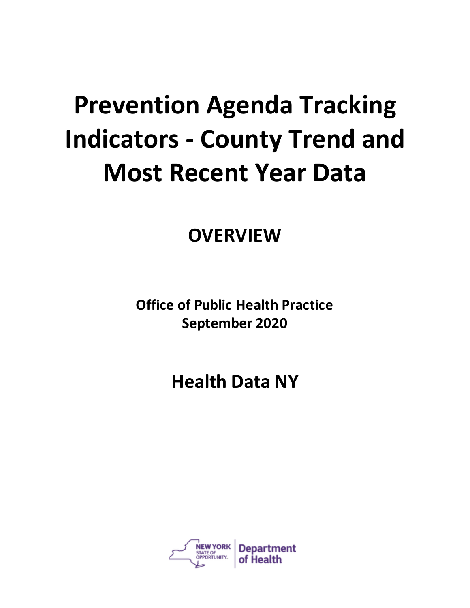# **Prevention Agenda Tracking Indicators - County Trend and Most Recent Year Data**

**OVERVIEW**

**Office of Public Health Practice September 2020**

**Health Data NY**

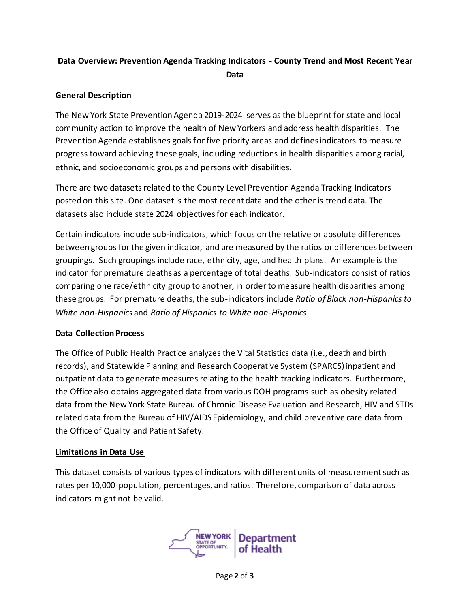# **Data Overview: Prevention Agenda Tracking Indicators - County Trend and Most Recent Year Data**

#### **General Description**

The New York State Prevention Agenda 2019-2024 serves as the blueprint for state and local community action to improve the health of New Yorkers and address health disparities. The Prevention Agenda establishes goals for five priority areas and defines indicators to measure progress toward achieving these goals, including reductions in health disparities among racial, ethnic, and socioeconomic groups and persons with disabilities.

There are two datasets related to the County Level Prevention Agenda Tracking Indicators posted on this site. One dataset is the most recent data and the other is trend data. The datasets also include state 2024 objectives for each indicator.

Certain indicators include sub-indicators, which focus on the relative or absolute differences between groups for the given indicator, and are measured by the ratios or differences between groupings. Such groupings include race, ethnicity, age, and health plans. An example is the indicator for premature deaths as a percentage of total deaths. Sub-indicators consist of ratios comparing one race/ethnicity group to another, in order to measure health disparities among these groups. For premature deaths, the sub-indicators include *Ratio of Black non-Hispanics to White non-Hispanics* and *Ratio of Hispanics to White non-Hispanics*.

## **Data Collection Process**

The Office of Public Health Practice analyzes the Vital Statistics data (i.e., death and birth records), and Statewide Planning and Research Cooperative System (SPARCS) inpatient and outpatient data to generate measures relating to the health tracking indicators. Furthermore, the Office also obtains aggregated data from various DOH programs such as obesity related data from the New York State Bureau of Chronic Disease Evaluation and Research, HIV and STDs related data from the Bureau of HIV/AIDS Epidemiology, and child preventive care data from the Office of Quality and Patient Safety.

## **Limitations in Data Use**

This dataset consists of various types of indicators with different units of measurement such as rates per 10,000 population, percentages, and ratios. Therefore, comparison of data across indicators might not be valid.